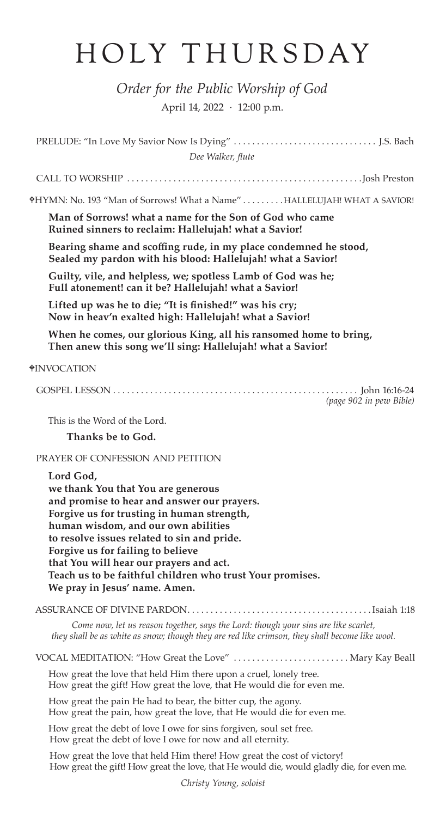# HOLY THURSDAY

*Order for the Public Worship of God* April 14, 2022 · 12:00 p.m.

| Dee Walker, flute                                                                                                                                                                                                                                                                                                                                                                                                |
|------------------------------------------------------------------------------------------------------------------------------------------------------------------------------------------------------------------------------------------------------------------------------------------------------------------------------------------------------------------------------------------------------------------|
|                                                                                                                                                                                                                                                                                                                                                                                                                  |
| <b>†HYMN: No. 193 "Man of Sorrows! What a Name" HALLELUJAH! WHAT A SAVIOR!</b>                                                                                                                                                                                                                                                                                                                                   |
| Man of Sorrows! what a name for the Son of God who came<br>Ruined sinners to reclaim: Hallelujah! what a Savior!                                                                                                                                                                                                                                                                                                 |
| Bearing shame and scoffing rude, in my place condemned he stood,<br>Sealed my pardon with his blood: Hallelujah! what a Savior!                                                                                                                                                                                                                                                                                  |
| Guilty, vile, and helpless, we; spotless Lamb of God was he;<br>Full atonement! can it be? Hallelujah! what a Savior!                                                                                                                                                                                                                                                                                            |
| Lifted up was he to die; "It is finished!" was his cry;<br>Now in heav'n exalted high: Hallelujah! what a Savior!                                                                                                                                                                                                                                                                                                |
| When he comes, our glorious King, all his ransomed home to bring,<br>Then anew this song we'll sing: Hallelujah! what a Savior!                                                                                                                                                                                                                                                                                  |
| <b>*INVOCATION</b>                                                                                                                                                                                                                                                                                                                                                                                               |
| (page 902 in pew Bible)                                                                                                                                                                                                                                                                                                                                                                                          |
| This is the Word of the Lord.                                                                                                                                                                                                                                                                                                                                                                                    |
| Thanks be to God.                                                                                                                                                                                                                                                                                                                                                                                                |
| PRAYER OF CONFESSION AND PETITION                                                                                                                                                                                                                                                                                                                                                                                |
| Lord God,<br>we thank You that You are generous<br>and promise to hear and answer our prayers.<br>Forgive us for trusting in human strength,<br>human wisdom, and our own abilities<br>to resolve issues related to sin and pride.<br>Forgive us for failing to believe<br>that You will hear our prayers and act.<br>Teach us to be faithful children who trust Your promises.<br>We pray in Jesus' name. Amen. |
|                                                                                                                                                                                                                                                                                                                                                                                                                  |
| Come now, let us reason together, says the Lord: though your sins are like scarlet,<br>they shall be as white as snow; though they are red like crimson, they shall become like wool.                                                                                                                                                                                                                            |
| VOCAL MEDITATION: "How Great the Love"  Mary Kay Beall                                                                                                                                                                                                                                                                                                                                                           |
| How great the love that held Him there upon a cruel, lonely tree.<br>How great the gift! How great the love, that He would die for even me.                                                                                                                                                                                                                                                                      |
| How great the pain He had to bear, the bitter cup, the agony.<br>How great the pain, how great the love, that He would die for even me.                                                                                                                                                                                                                                                                          |
| How great the debt of love I owe for sins forgiven, soul set free.<br>How great the debt of love I owe for now and all eternity.                                                                                                                                                                                                                                                                                 |
| How great the love that held Him there! How great the cost of victory!<br>How great the gift! How great the love, that He would die, would gladly die, for even me.                                                                                                                                                                                                                                              |